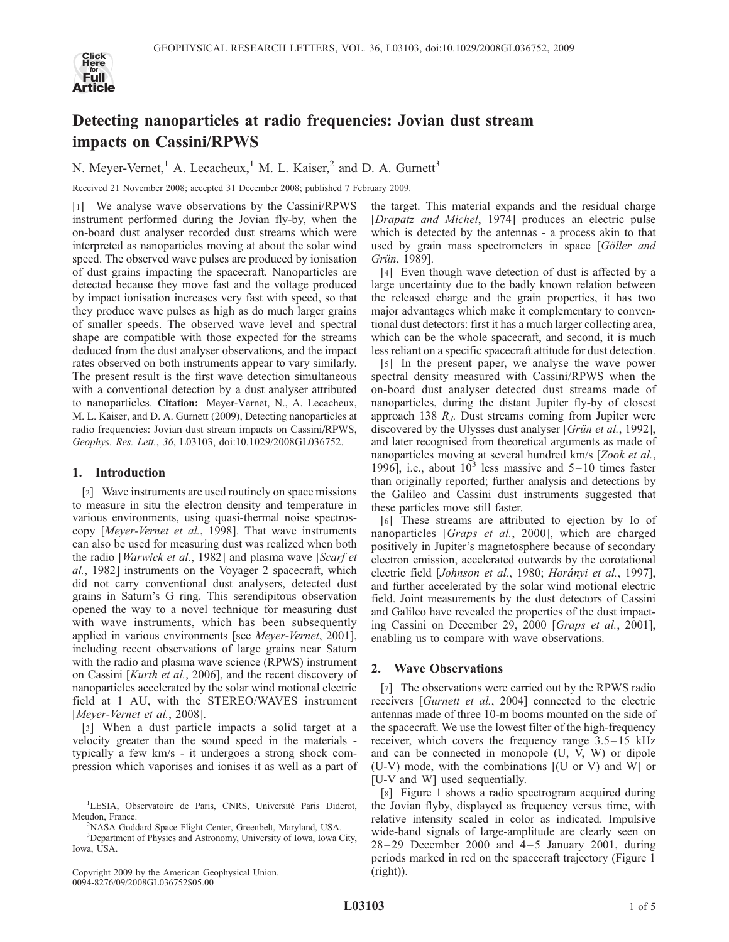

# Detecting nanoparticles at radio frequencies: Jovian dust stream impacts on Cassini/RPWS

N. Meyer-Vernet,<sup>1</sup> A. Lecacheux,<sup>1</sup> M. L. Kaiser,<sup>2</sup> and D. A. Gurnett<sup>3</sup>

Received 21 November 2008; accepted 31 December 2008; published 7 February 2009.

[1] We analyse wave observations by the Cassini/RPWS instrument performed during the Jovian fly-by, when the on-board dust analyser recorded dust streams which were interpreted as nanoparticles moving at about the solar wind speed. The observed wave pulses are produced by ionisation of dust grains impacting the spacecraft. Nanoparticles are detected because they move fast and the voltage produced by impact ionisation increases very fast with speed, so that they produce wave pulses as high as do much larger grains of smaller speeds. The observed wave level and spectral shape are compatible with those expected for the streams deduced from the dust analyser observations, and the impact rates observed on both instruments appear to vary similarly. The present result is the first wave detection simultaneous with a conventional detection by a dust analyser attributed to nanoparticles. Citation: Meyer-Vernet, N., A. Lecacheux, M. L. Kaiser, and D. A. Gurnett (2009), Detecting nanoparticles at radio frequencies: Jovian dust stream impacts on Cassini/RPWS, Geophys. Res. Lett., 36, L03103, doi:10.1029/2008GL036752.

### 1. Introduction

[2] Wave instruments are used routinely on space missions to measure in situ the electron density and temperature in various environments, using quasi-thermal noise spectroscopy [Meyer-Vernet et al., 1998]. That wave instruments can also be used for measuring dust was realized when both the radio [Warwick et al., 1982] and plasma wave [Scarf et al., 1982] instruments on the Voyager 2 spacecraft, which did not carry conventional dust analysers, detected dust grains in Saturn's G ring. This serendipitous observation opened the way to a novel technique for measuring dust with wave instruments, which has been subsequently applied in various environments [see *Meyer-Vernet*, 2001], including recent observations of large grains near Saturn with the radio and plasma wave science (RPWS) instrument on Cassini [Kurth et al., 2006], and the recent discovery of nanoparticles accelerated by the solar wind motional electric field at 1 AU, with the STEREO/WAVES instrument [Meyer-Vernet et al., 2008].

[3] When a dust particle impacts a solid target at a velocity greater than the sound speed in the materials typically a few km/s - it undergoes a strong shock compression which vaporises and ionises it as well as a part of the target. This material expands and the residual charge [Drapatz and Michel, 1974] produces an electric pulse which is detected by the antennas - a process akin to that used by grain mass spectrometers in space [Göller and Grün, 1989].

[4] Even though wave detection of dust is affected by a large uncertainty due to the badly known relation between the released charge and the grain properties, it has two major advantages which make it complementary to conventional dust detectors: first it has a much larger collecting area, which can be the whole spacecraft, and second, it is much less reliant on a specific spacecraft attitude for dust detection.

[5] In the present paper, we analyse the wave power spectral density measured with Cassini/RPWS when the on-board dust analyser detected dust streams made of nanoparticles, during the distant Jupiter fly-by of closest approach 138  $R<sub>J</sub>$ . Dust streams coming from Jupiter were discovered by the Ulysses dust analyser [*Grün et al.*, 1992], and later recognised from theoretical arguments as made of nanoparticles moving at several hundred km/s [Zook et al., 1996], i.e., about  $10<sup>3</sup>$  less massive and  $5-10$  times faster than originally reported; further analysis and detections by the Galileo and Cassini dust instruments suggested that these particles move still faster.

[6] These streams are attributed to ejection by Io of nanoparticles [Graps et al., 2000], which are charged positively in Jupiter's magnetosphere because of secondary electron emission, accelerated outwards by the corotational electric field [Johnson et al., 1980; Horányi et al., 1997], and further accelerated by the solar wind motional electric field. Joint measurements by the dust detectors of Cassini and Galileo have revealed the properties of the dust impacting Cassini on December 29, 2000 [Graps et al., 2001], enabling us to compare with wave observations.

## 2. Wave Observations

[7] The observations were carried out by the RPWS radio receivers [Gurnett et al., 2004] connected to the electric antennas made of three 10-m booms mounted on the side of the spacecraft. We use the lowest filter of the high-frequency receiver, which covers the frequency range  $3.5-15$  kHz and can be connected in monopole (U, V, W) or dipole (U-V) mode, with the combinations [(U or V) and W] or [U-V and W] used sequentially.

[8] Figure 1 shows a radio spectrogram acquired during the Jovian flyby, displayed as frequency versus time, with relative intensity scaled in color as indicated. Impulsive wide-band signals of large-amplitude are clearly seen on  $28 - 29$  December 2000 and  $4 - 5$  January 2001, during periods marked in red on the spacecraft trajectory (Figure 1 (right)).

<sup>&</sup>lt;sup>1</sup>LESIA, Observatoire de Paris, CNRS, Université Paris Diderot, Meudon, France.

<sup>&</sup>lt;sup>2</sup>NASA Goddard Space Flight Center, Greenbelt, Maryland, USA.

<sup>&</sup>lt;sup>3</sup>Department of Physics and Astronomy, University of Iowa, Iowa City, Iowa, USA.

Copyright 2009 by the American Geophysical Union. 0094-8276/09/2008GL036752\$05.00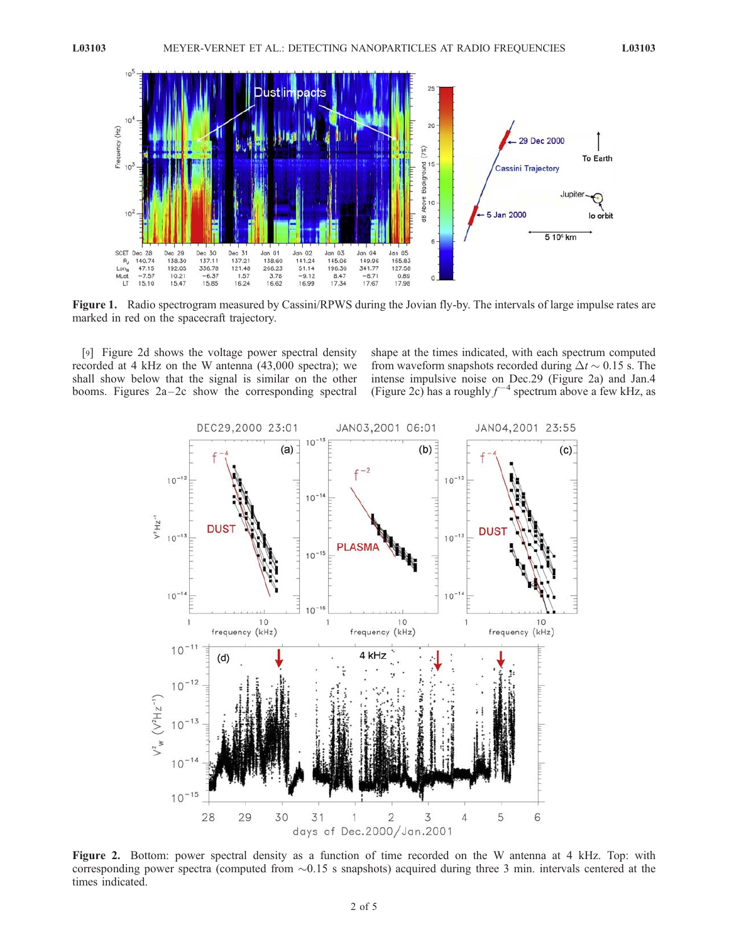

Figure 1. Radio spectrogram measured by Cassini/RPWS during the Jovian fly-by. The intervals of large impulse rates are marked in red on the spacecraft trajectory.

[9] Figure 2d shows the voltage power spectral density recorded at 4 kHz on the W antenna (43,000 spectra); we shall show below that the signal is similar on the other booms. Figures  $2a-2c$  show the corresponding spectral

shape at the times indicated, with each spectrum computed from waveform snapshots recorded during  $\Delta t \sim 0.15$  s. The intense impulsive noise on Dec.29 (Figure 2a) and Jan.4 (Figure 2c) has a roughly  $f^{-4}$  spectrum above a few kHz, as



Figure 2. Bottom: power spectral density as a function of time recorded on the W antenna at 4 kHz. Top: with corresponding power spectra (computed from  $\sim 0.15$  s snapshots) acquired during three 3 min. intervals centered at the times indicated.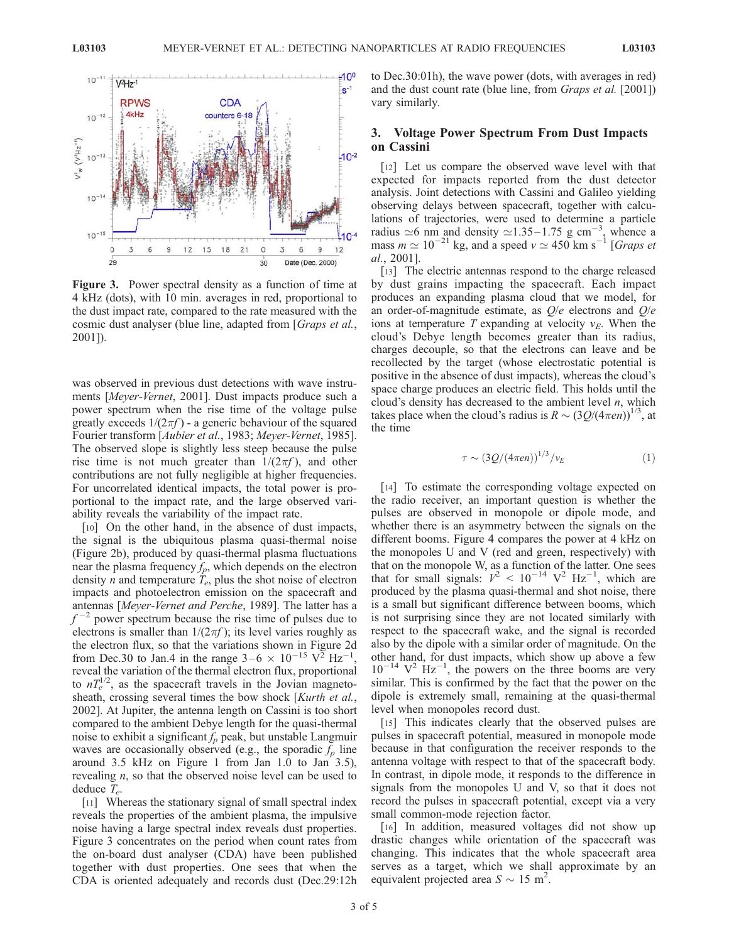

Figure 3. Power spectral density as a function of time at 4 kHz (dots), with 10 min. averages in red, proportional to the dust impact rate, compared to the rate measured with the cosmic dust analyser (blue line, adapted from [*Graps et al.*, 2001]).

was observed in previous dust detections with wave instruments [Meyer-Vernet, 2001]. Dust impacts produce such a power spectrum when the rise time of the voltage pulse greatly exceeds  $1/(2\pi f)$  - a generic behaviour of the squared Fourier transform [Aubier et al., 1983; Meyer-Vernet, 1985]. The observed slope is slightly less steep because the pulse rise time is not much greater than  $1/(2\pi f)$ , and other contributions are not fully negligible at higher frequencies. For uncorrelated identical impacts, the total power is proportional to the impact rate, and the large observed variability reveals the variability of the impact rate.

[10] On the other hand, in the absence of dust impacts, the signal is the ubiquitous plasma quasi-thermal noise (Figure 2b), produced by quasi-thermal plasma fluctuations near the plasma frequency  $f_p$ , which depends on the electron density *n* and temperature  $T_e$ , plus the shot noise of electron impacts and photoelectron emission on the spacecraft and antennas [Meyer-Vernet and Perche, 1989]. The latter has a  $f^{-2}$  power spectrum because the rise time of pulses due to electrons is smaller than  $1/(2\pi f)$ ; its level varies roughly as the electron flux, so that the variations shown in Figure 2d from Dec.30 to Jan.4 in the range  $3-6 \times 10^{-15}$  V<sup>2</sup> Hz<sup>-1</sup>, reveal the variation of the thermal electron flux, proportional to  $nT_e^{1/2}$ , as the spacecraft travels in the Jovian magnetosheath, crossing several times the bow shock [Kurth et al., 2002]. At Jupiter, the antenna length on Cassini is too short compared to the ambient Debye length for the quasi-thermal noise to exhibit a significant  $f_p$  peak, but unstable Langmuir waves are occasionally observed (e.g., the sporadic  $f_p$  line around 3.5 kHz on Figure 1 from Jan 1.0 to Jan 3.5), revealing n, so that the observed noise level can be used to deduce  $T_e$ .

[11] Whereas the stationary signal of small spectral index reveals the properties of the ambient plasma, the impulsive noise having a large spectral index reveals dust properties. Figure 3 concentrates on the period when count rates from the on-board dust analyser (CDA) have been published together with dust properties. One sees that when the CDA is oriented adequately and records dust (Dec.29:12h to Dec.30:01h), the wave power (dots, with averages in red) and the dust count rate (blue line, from Graps et al. [2001]) vary similarly.

#### 3. Voltage Power Spectrum From Dust Impacts on Cassini

[12] Let us compare the observed wave level with that expected for impacts reported from the dust detector analysis. Joint detections with Cassini and Galileo yielding observing delays between spacecraft, together with calculations of trajectories, were used to determine a particle radius  $\approx$ 6 nm and density  $\approx$ 1.35–1.75 g cm<sup>-3</sup>, whence a mass  $m \simeq 10^{-21}$  kg, and a speed  $v \simeq 450$  km s<sup>-1</sup> [*Graps et* al., 2001].

[13] The electric antennas respond to the charge released by dust grains impacting the spacecraft. Each impact produces an expanding plasma cloud that we model, for an order-of-magnitude estimate, as  $O/e$  electrons and  $O/e$ ions at temperature T expanding at velocity  $v_E$ . When the cloud's Debye length becomes greater than its radius, charges decouple, so that the electrons can leave and be recollected by the target (whose electrostatic potential is positive in the absence of dust impacts), whereas the cloud's space charge produces an electric field. This holds until the cloud's density has decreased to the ambient level  $n$ , which takes place when the cloud's radius is  $R \sim (3Q/(4\pi en))^{1/3}$ , at the time

$$
\tau \sim \left(3Q/(4\pi en)\right)^{1/3}/v_E\tag{1}
$$

[14] To estimate the corresponding voltage expected on the radio receiver, an important question is whether the pulses are observed in monopole or dipole mode, and whether there is an asymmetry between the signals on the different booms. Figure 4 compares the power at 4 kHz on the monopoles U and V (red and green, respectively) with that on the monopole W, as a function of the latter. One sees that for small signals:  $V^2 < 10^{-14}$  V<sup>2</sup> Hz<sup>-1</sup>, which are produced by the plasma quasi-thermal and shot noise, there is a small but significant difference between booms, which is not surprising since they are not located similarly with respect to the spacecraft wake, and the signal is recorded also by the dipole with a similar order of magnitude. On the other hand, for dust impacts, which show up above a few  $10^{-14}$  V<sup>2</sup> Hz<sup>-1</sup>, the powers on the three booms are very similar. This is confirmed by the fact that the power on the dipole is extremely small, remaining at the quasi-thermal level when monopoles record dust.

[15] This indicates clearly that the observed pulses are pulses in spacecraft potential, measured in monopole mode because in that configuration the receiver responds to the antenna voltage with respect to that of the spacecraft body. In contrast, in dipole mode, it responds to the difference in signals from the monopoles U and V, so that it does not record the pulses in spacecraft potential, except via a very small common-mode rejection factor.

[16] In addition, measured voltages did not show up drastic changes while orientation of the spacecraft was changing. This indicates that the whole spacecraft area serves as a target, which we shall approximate by an equivalent projected area  $S \sim 15$  m<sup>2</sup>.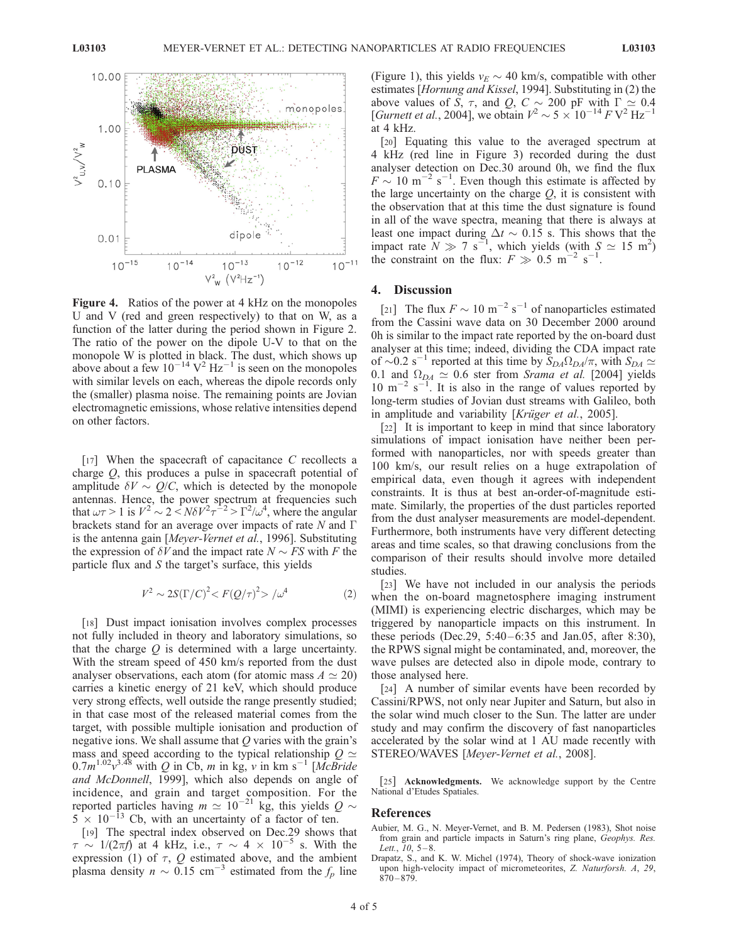

Figure 4. Ratios of the power at 4 kHz on the monopoles U and V (red and green respectively) to that on W, as a function of the latter during the period shown in Figure 2. The ratio of the power on the dipole U-V to that on the monopole W is plotted in black. The dust, which shows up above about a few  $10^{-14}$  V<sup>2</sup> Hz<sup>-1</sup> is seen on the monopoles with similar levels on each, whereas the dipole records only the (smaller) plasma noise. The remaining points are Jovian electromagnetic emissions, whose relative intensities depend on other factors.

[17] When the spacecraft of capacitance  $C$  recollects a charge Q, this produces a pulse in spacecraft potential of amplitude  $\delta V \sim O/C$ , which is detected by the monopole antennas. Hence, the power spectrum at frequencies such that  $\omega \tau > 1$  is  $V^2 \sim 2 \langle N \delta V^2 \tau^{-2} \rangle = \Gamma^2 / \omega^4$ , where the angular brackets stand for an average over impacts of rate  $N$  and  $\Gamma$ is the antenna gain [Meyer-Vernet et al., 1996]. Substituting the expression of  $\delta V$  and the impact rate  $N \sim FS$  with F the particle flux and  $S$  the target's surface, this yields

$$
V^2 \sim 2S(\Gamma/C)^2 < F(Q/\tau)^2 > / \omega^4 \tag{2}
$$

[18] Dust impact ionisation involves complex processes not fully included in theory and laboratory simulations, so that the charge  $Q$  is determined with a large uncertainty. With the stream speed of 450 km/s reported from the dust analyser observations, each atom (for atomic mass  $A \simeq 20$ ) carries a kinetic energy of 21 keV, which should produce very strong effects, well outside the range presently studied; in that case most of the released material comes from the target, with possible multiple ionisation and production of negative ions. We shall assume that  $Q$  varies with the grain's mass and speed according to the typical relationship  $Q \simeq$  $0.7m^{1.02}v^{3.48}$  with Q in Cb, m in kg, v in km s<sup>-1</sup> [McBride and McDonnell, 1999], which also depends on angle of incidence, and grain and target composition. For the reported particles having  $m \simeq 10^{-21}$  kg, this yields  $Q \sim$  $5 \times 10^{-13}$  Cb, with an uncertainty of a factor of ten.

[19] The spectral index observed on Dec.29 shows that  $\tau \sim 1/(2\pi f)$  at 4 kHz, i.e.,  $\tau \sim 4 \times 10^{-5}$  s. With the expression (1) of  $\tau$ , Q estimated above, and the ambient plasma density  $n \sim 0.15$  cm<sup>-3</sup> estimated from the  $f_p$  line

(Figure 1), this yields  $v_E \sim 40$  km/s, compatible with other estimates [Hornung and Kissel, 1994]. Substituting in (2) the above values of S,  $\tau$ , and Q, C  $\sim$  200 pF with  $\Gamma \simeq 0.4$ [*Gurnett et al.*, 2004], we obtain  $V^2 \sim 5 \times 10^{-14} FV^2 Hz^{-1}$ at 4 kHz.

[20] Equating this value to the averaged spectrum at 4 kHz (red line in Figure 3) recorded during the dust analyser detection on Dec.30 around 0h, we find the flux  $F \sim 10 \text{ m}^{-2} \text{ s}^{-1}$ . Even though this estimate is affected by the large uncertainty on the charge  $Q$ , it is consistent with the observation that at this time the dust signature is found in all of the wave spectra, meaning that there is always at least one impact during  $\Delta t \sim 0.15$  s. This shows that the impact rate  $N \gg 7$  s<sup>-1</sup>, which yields (with  $S \simeq 15$  m<sup>2</sup>) the constraint on the flux:  $F \gg 0.5 \text{ m}^{-2} \text{ s}^{-1}$ .

#### 4. Discussion

[21] The flux  $F \sim 10 \text{ m}^{-2} \text{ s}^{-1}$  of nanoparticles estimated from the Cassini wave data on 30 December 2000 around 0h is similar to the impact rate reported by the on-board dust analyser at this time; indeed, dividing the CDA impact rate of  $\sim 0.2$  s<sup>-1</sup> reported at this time by  $S_{DA}\Omega_{DA}/\pi$ , with  $S_{DA} \simeq$ 0.1 and  $\Omega_{DA} \simeq 0.6$  ster from Srama et al. [2004] yields  $10 \text{ m}^{-2} \text{ s}^{-1}$ . It is also in the range of values reported by long-term studies of Jovian dust streams with Galileo, both in amplitude and variability [Krüger et al., 2005].

[22] It is important to keep in mind that since laboratory simulations of impact ionisation have neither been performed with nanoparticles, nor with speeds greater than 100 km/s, our result relies on a huge extrapolation of empirical data, even though it agrees with independent constraints. It is thus at best an-order-of-magnitude estimate. Similarly, the properties of the dust particles reported from the dust analyser measurements are model-dependent. Furthermore, both instruments have very different detecting areas and time scales, so that drawing conclusions from the comparison of their results should involve more detailed studies.

[23] We have not included in our analysis the periods when the on-board magnetosphere imaging instrument (MIMI) is experiencing electric discharges, which may be triggered by nanoparticle impacts on this instrument. In these periods (Dec.29,  $5:40-6:35$  and Jan.05, after 8:30), the RPWS signal might be contaminated, and, moreover, the wave pulses are detected also in dipole mode, contrary to those analysed here.

[24] A number of similar events have been recorded by Cassini/RPWS, not only near Jupiter and Saturn, but also in the solar wind much closer to the Sun. The latter are under study and may confirm the discovery of fast nanoparticles accelerated by the solar wind at 1 AU made recently with STEREO/WAVES [Meyer-Vernet et al., 2008].

[25] **Acknowledgments.** We acknowledge support by the Centre National d'Etudes Spatiales.

#### References

- Aubier, M. G., N. Meyer-Vernet, and B. M. Pedersen (1983), Shot noise from grain and particle impacts in Saturn's ring plane, Geophys. Res. Lett., 10, 5-8.
- Drapatz, S., and K. W. Michel (1974), Theory of shock-wave ionization upon high-velocity impact of micrometeorites, Z. Naturforsh. A, 29,  $870 - 879.$